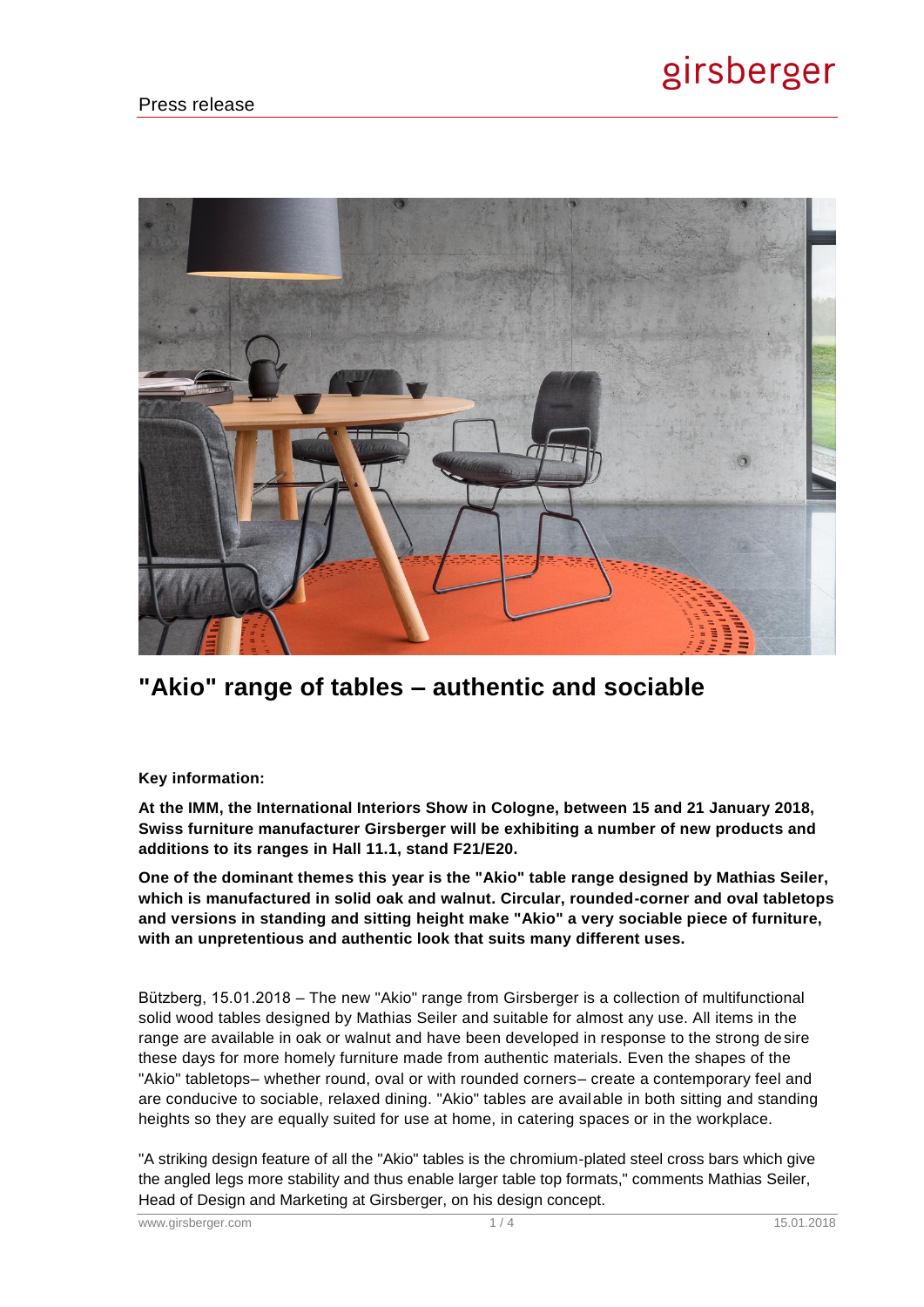

# **"Akio" range of tables – authentic and sociable**

### **Key information:**

**At the IMM, the International Interiors Show in Cologne, between 15 and 21 January 2018, Swiss furniture manufacturer Girsberger will be exhibiting a number of new products and additions to its ranges in Hall 11.1, stand F21/E20.** 

**One of the dominant themes this year is the "Akio" table range designed by Mathias Seiler, which is manufactured in solid oak and walnut. Circular, rounded-corner and oval tabletops and versions in standing and sitting height make "Akio" a very sociable piece of furniture, with an unpretentious and authentic look that suits many different uses.** 

Bützberg, 15.01.2018 – The new "Akio" range from Girsberger is a collection of multifunctional solid wood tables designed by Mathias Seiler and suitable for almost any use. All items in the range are available in oak or walnut and have been developed in response to the strong desire these days for more homely furniture made from authentic materials. Even the shapes of the "Akio" tabletops– whether round, oval or with rounded corners– create a contemporary feel and are conducive to sociable, relaxed dining. "Akio" tables are available in both sitting and standing heights so they are equally suited for use at home, in catering spaces or in the workplace.

"A striking design feature of all the "Akio" tables is the chromium-plated steel cross bars which give the angled legs more stability and thus enable larger table top formats," comments Mathias Seiler, Head of Design and Marketing at Girsberger, on his design concept.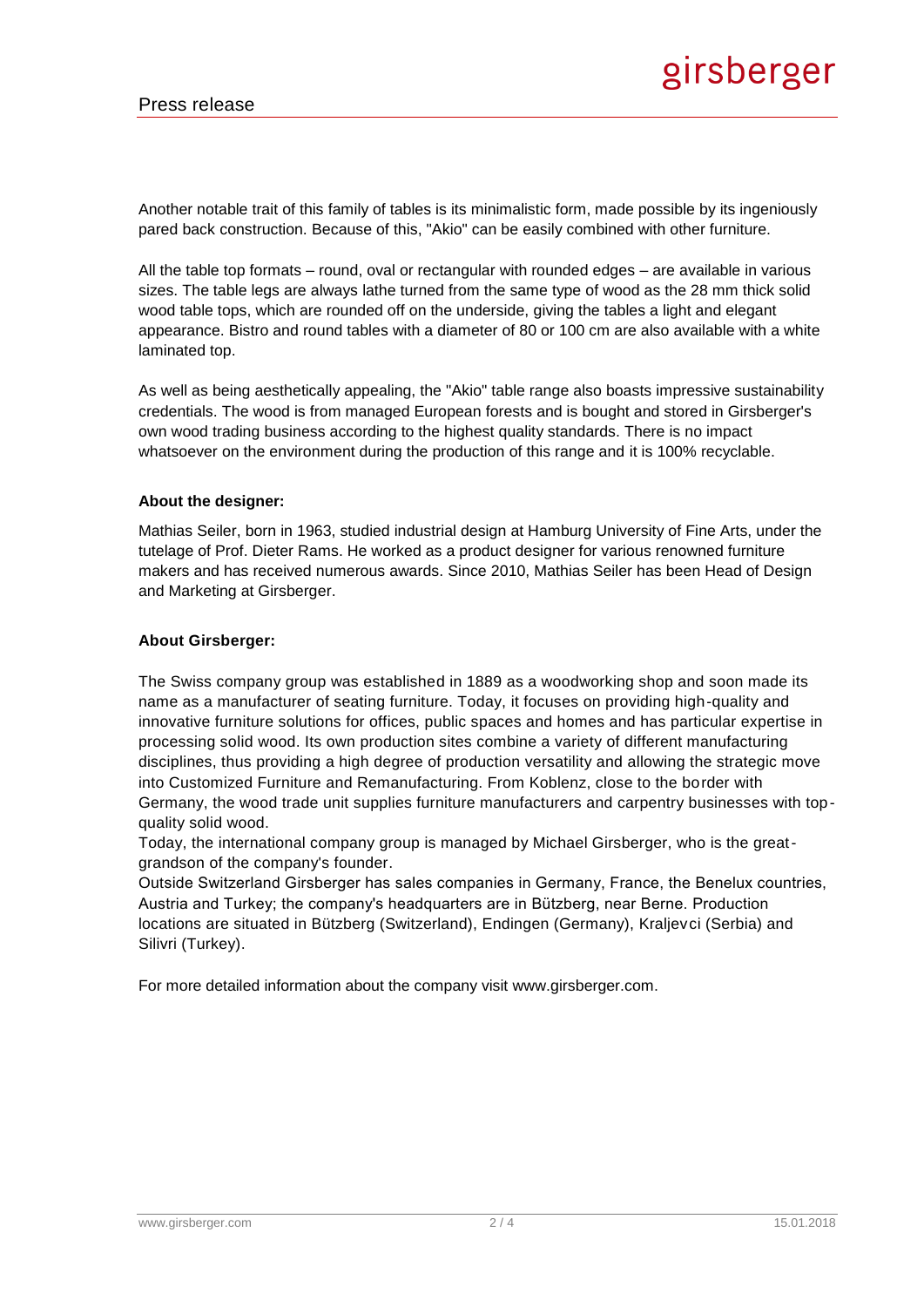Another notable trait of this family of tables is its minimalistic form, made possible by its ingeniously pared back construction. Because of this, "Akio" can be easily combined with other furniture.

All the table top formats – round, oval or rectangular with rounded edges – are available in various sizes. The table legs are always lathe turned from the same type of wood as the 28 mm thick solid wood table tops, which are rounded off on the underside, giving the tables a light and elegant appearance. Bistro and round tables with a diameter of 80 or 100 cm are also available with a white laminated top.

As well as being aesthetically appealing, the "Akio" table range also boasts impressive sustainability credentials. The wood is from managed European forests and is bought and stored in Girsberger's own wood trading business according to the highest quality standards. There is no impact whatsoever on the environment during the production of this range and it is 100% recyclable.

#### **About the designer:**

Mathias Seiler, born in 1963, studied industrial design at Hamburg University of Fine Arts, under the tutelage of Prof. Dieter Rams. He worked as a product designer for various renowned furniture makers and has received numerous awards. Since 2010, Mathias Seiler has been Head of Design and Marketing at Girsberger.

#### **About Girsberger:**

The Swiss company group was established in 1889 as a woodworking shop and soon made its name as a manufacturer of seating furniture. Today, it focuses on providing high-quality and innovative furniture solutions for offices, public spaces and homes and has particular expertise in processing solid wood. Its own production sites combine a variety of different manufacturing disciplines, thus providing a high degree of production versatility and allowing the strategic move into Customized Furniture and Remanufacturing. From Koblenz, close to the border with Germany, the wood trade unit supplies furniture manufacturers and carpentry businesses with topquality solid wood.

Today, the international company group is managed by Michael Girsberger, who is the greatgrandson of the company's founder.

Outside Switzerland Girsberger has sales companies in Germany, France, the Benelux countries, Austria and Turkey; the company's headquarters are in Bützberg, near Berne. Production locations are situated in Bützberg (Switzerland), Endingen (Germany), Kraljevci (Serbia) and Silivri (Turkey).

For more detailed information about the company visit www.girsberger.com.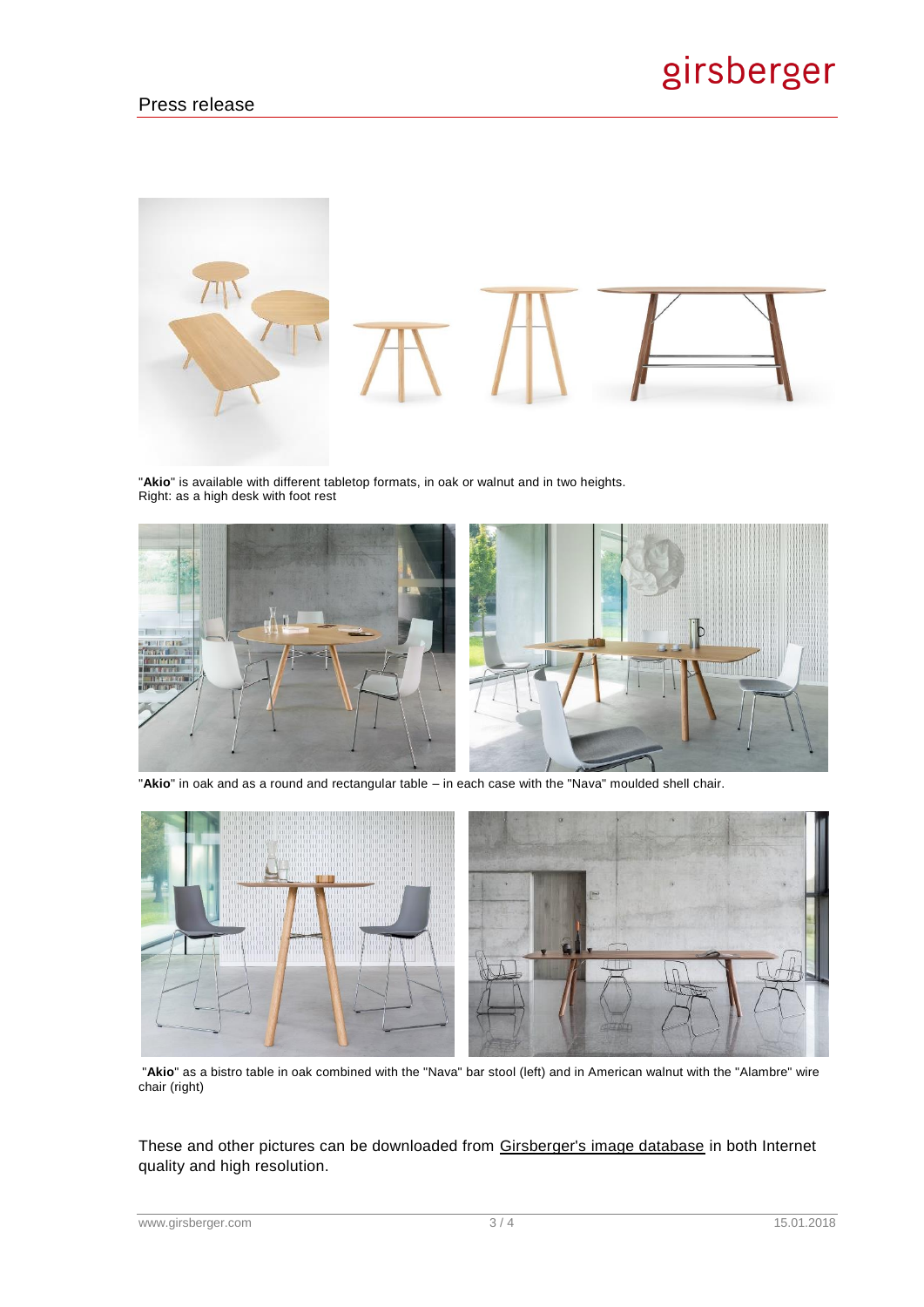

"**Akio**" is available with different tabletop formats, in oak or walnut and in two heights. Right: as a high desk with foot rest



"**Akio**" in oak and as a round and rectangular table – in each case with the "Nava" moulded shell chair.



"**Akio**" as a bistro table in oak combined with the "Nava" bar stool (left) and in American walnut with the "Alambre" wire chair (right)

These and other pictures can be downloaded from [Girsberger's image database](https://girsberger.work2net.ch/) in both Internet quality and high resolution.